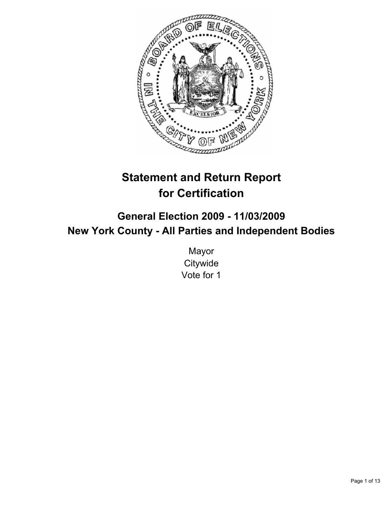

# **Statement and Return Report for Certification**

## **General Election 2009 - 11/03/2009 New York County - All Parties and Independent Bodies**

Mayor **Citywide** Vote for 1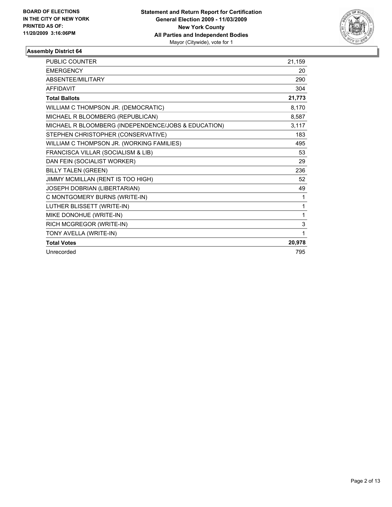

| <b>PUBLIC COUNTER</b>                               | 21,159      |
|-----------------------------------------------------|-------------|
| <b>EMERGENCY</b>                                    | 20          |
| <b>ABSENTEE/MILITARY</b>                            | 290         |
| <b>AFFIDAVIT</b>                                    | 304         |
| <b>Total Ballots</b>                                | 21,773      |
| WILLIAM C THOMPSON JR. (DEMOCRATIC)                 | 8,170       |
| MICHAEL R BLOOMBERG (REPUBLICAN)                    | 8,587       |
| MICHAEL R BLOOMBERG (INDEPENDENCE/JOBS & EDUCATION) | 3,117       |
| STEPHEN CHRISTOPHER (CONSERVATIVE)                  | 183         |
| WILLIAM C THOMPSON JR. (WORKING FAMILIES)           | 495         |
| FRANCISCA VILLAR (SOCIALISM & LIB)                  | 53          |
| DAN FEIN (SOCIALIST WORKER)                         | 29          |
| <b>BILLY TALEN (GREEN)</b>                          | 236         |
| JIMMY MCMILLAN (RENT IS TOO HIGH)                   | 52          |
| JOSEPH DOBRIAN (LIBERTARIAN)                        | 49          |
| C MONTGOMERY BURNS (WRITE-IN)                       | 1           |
| LUTHER BLISSETT (WRITE-IN)                          | 1           |
| MIKE DONOHUE (WRITE-IN)                             | 1           |
| RICH MCGREGOR (WRITE-IN)                            | $\mathsf 3$ |
| TONY AVELLA (WRITE-IN)                              | 1           |
| <b>Total Votes</b>                                  | 20,978      |
| Unrecorded                                          | 795         |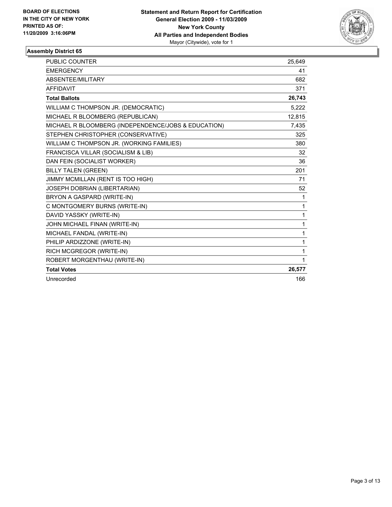

| <b>PUBLIC COUNTER</b>                               | 25,649 |
|-----------------------------------------------------|--------|
| <b>EMERGENCY</b>                                    | 41     |
| ABSENTEE/MILITARY                                   | 682    |
| <b>AFFIDAVIT</b>                                    | 371    |
| <b>Total Ballots</b>                                | 26,743 |
| WILLIAM C THOMPSON JR. (DEMOCRATIC)                 | 5,222  |
| MICHAEL R BLOOMBERG (REPUBLICAN)                    | 12,815 |
| MICHAEL R BLOOMBERG (INDEPENDENCE/JOBS & EDUCATION) | 7,435  |
| STEPHEN CHRISTOPHER (CONSERVATIVE)                  | 325    |
| WILLIAM C THOMPSON JR. (WORKING FAMILIES)           | 380    |
| FRANCISCA VILLAR (SOCIALISM & LIB)                  | 32     |
| DAN FEIN (SOCIALIST WORKER)                         | 36     |
| <b>BILLY TALEN (GREEN)</b>                          | 201    |
| JIMMY MCMILLAN (RENT IS TOO HIGH)                   | 71     |
| JOSEPH DOBRIAN (LIBERTARIAN)                        | 52     |
| BRYON A GASPARD (WRITE-IN)                          | 1      |
| C MONTGOMERY BURNS (WRITE-IN)                       | 1      |
| DAVID YASSKY (WRITE-IN)                             | 1      |
| JOHN MICHAEL FINAN (WRITE-IN)                       | 1      |
| MICHAEL FANDAL (WRITE-IN)                           | 1      |
| PHILIP ARDIZZONE (WRITE-IN)                         | 1      |
| RICH MCGREGOR (WRITE-IN)                            | 1      |
| ROBERT MORGENTHAU (WRITE-IN)                        | 1      |
| <b>Total Votes</b>                                  | 26,577 |
| Unrecorded                                          | 166    |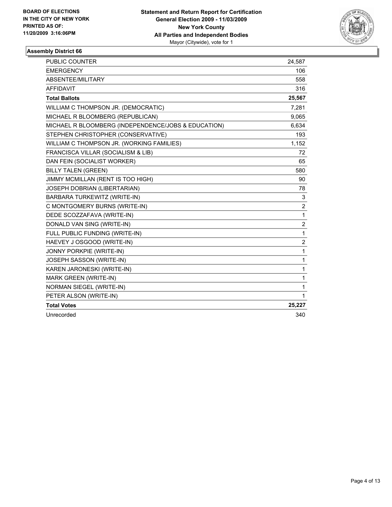

| <b>PUBLIC COUNTER</b>                               | 24,587         |
|-----------------------------------------------------|----------------|
| <b>EMERGENCY</b>                                    | 106            |
| ABSENTEE/MILITARY                                   | 558            |
| <b>AFFIDAVIT</b>                                    | 316            |
| <b>Total Ballots</b>                                | 25,567         |
| WILLIAM C THOMPSON JR. (DEMOCRATIC)                 | 7,281          |
| MICHAEL R BLOOMBERG (REPUBLICAN)                    | 9,065          |
| MICHAEL R BLOOMBERG (INDEPENDENCE/JOBS & EDUCATION) | 6,634          |
| STEPHEN CHRISTOPHER (CONSERVATIVE)                  | 193            |
| WILLIAM C THOMPSON JR. (WORKING FAMILIES)           | 1,152          |
| FRANCISCA VILLAR (SOCIALISM & LIB)                  | 72             |
| DAN FEIN (SOCIALIST WORKER)                         | 65             |
| <b>BILLY TALEN (GREEN)</b>                          | 580            |
| JIMMY MCMILLAN (RENT IS TOO HIGH)                   | 90             |
| JOSEPH DOBRIAN (LIBERTARIAN)                        | 78             |
| BARBARA TURKEWITZ (WRITE-IN)                        | 3              |
| C MONTGOMERY BURNS (WRITE-IN)                       | 2              |
| DEDE SCOZZAFAVA (WRITE-IN)                          | $\mathbf{1}$   |
| DONALD VAN SING (WRITE-IN)                          | $\overline{2}$ |
| FULL PUBLIC FUNDING (WRITE-IN)                      | $\mathbf{1}$   |
| HAEVEY J OSGOOD (WRITE-IN)                          | 2              |
| JONNY PORKPIE (WRITE-IN)                            | $\mathbf{1}$   |
| JOSEPH SASSON (WRITE-IN)                            | $\mathbf{1}$   |
| KAREN JARONESKI (WRITE-IN)                          | $\mathbf{1}$   |
| <b>MARK GREEN (WRITE-IN)</b>                        | 1              |
| <b>NORMAN SIEGEL (WRITE-IN)</b>                     | 1              |
| PETER ALSON (WRITE-IN)                              | $\mathbf{1}$   |
| <b>Total Votes</b>                                  | 25,227         |
| Unrecorded                                          | 340            |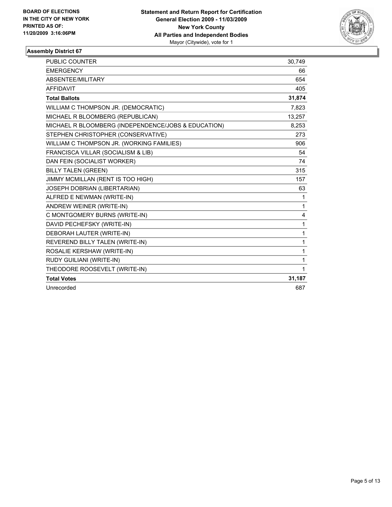

| PUBLIC COUNTER                                      | 30,749       |
|-----------------------------------------------------|--------------|
| <b>EMERGENCY</b>                                    | 66           |
| ABSENTEE/MILITARY                                   | 654          |
| <b>AFFIDAVIT</b>                                    | 405          |
| <b>Total Ballots</b>                                | 31,874       |
| WILLIAM C THOMPSON JR. (DEMOCRATIC)                 | 7,823        |
| MICHAEL R BLOOMBERG (REPUBLICAN)                    | 13,257       |
| MICHAEL R BLOOMBERG (INDEPENDENCE/JOBS & EDUCATION) | 8,253        |
| STEPHEN CHRISTOPHER (CONSERVATIVE)                  | 273          |
| WILLIAM C THOMPSON JR. (WORKING FAMILIES)           | 906          |
| FRANCISCA VILLAR (SOCIALISM & LIB)                  | 54           |
| DAN FEIN (SOCIALIST WORKER)                         | 74           |
| <b>BILLY TALEN (GREEN)</b>                          | 315          |
| JIMMY MCMILLAN (RENT IS TOO HIGH)                   | 157          |
| <b>JOSEPH DOBRIAN (LIBERTARIAN)</b>                 | 63           |
| ALFRED E NEWMAN (WRITE-IN)                          | 1            |
| ANDREW WEINER (WRITE-IN)                            | $\mathbf{1}$ |
| C MONTGOMERY BURNS (WRITE-IN)                       | 4            |
| DAVID PECHEFSKY (WRITE-IN)                          | 1            |
| DEBORAH LAUTER (WRITE-IN)                           | 1            |
| REVEREND BILLY TALEN (WRITE-IN)                     | $\mathbf{1}$ |
| ROSALIE KERSHAW (WRITE-IN)                          | 1            |
| RUDY GUILIANI (WRITE-IN)                            | 1            |
| THEODORE ROOSEVELT (WRITE-IN)                       | $\mathbf{1}$ |
| <b>Total Votes</b>                                  | 31,187       |
| Unrecorded                                          | 687          |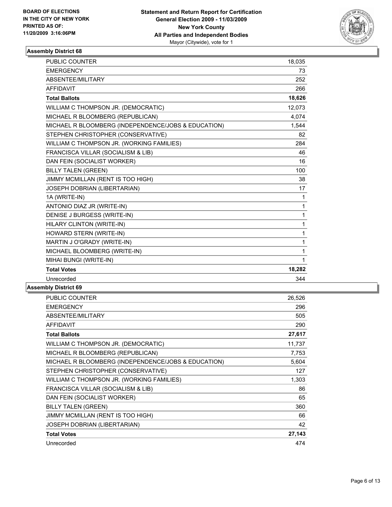

| <b>PUBLIC COUNTER</b>                               | 18,035       |
|-----------------------------------------------------|--------------|
| <b>EMERGENCY</b>                                    | 73           |
| ABSENTEE/MILITARY                                   | 252          |
| <b>AFFIDAVIT</b>                                    | 266          |
| <b>Total Ballots</b>                                | 18,626       |
| WILLIAM C THOMPSON JR. (DEMOCRATIC)                 | 12,073       |
| MICHAEL R BLOOMBERG (REPUBLICAN)                    | 4.074        |
| MICHAEL R BLOOMBERG (INDEPENDENCE/JOBS & EDUCATION) | 1,544        |
| STEPHEN CHRISTOPHER (CONSERVATIVE)                  | 82           |
| WILLIAM C THOMPSON JR. (WORKING FAMILIES)           | 284          |
| FRANCISCA VILLAR (SOCIALISM & LIB)                  | 46           |
| DAN FEIN (SOCIALIST WORKER)                         | 16           |
| <b>BILLY TALEN (GREEN)</b>                          | 100          |
| JIMMY MCMILLAN (RENT IS TOO HIGH)                   | 38           |
| JOSEPH DOBRIAN (LIBERTARIAN)                        | 17           |
| 1A (WRITE-IN)                                       | $\mathbf{1}$ |
| ANTONIO DIAZ JR (WRITE-IN)                          | $\mathbf{1}$ |
| DENISE J BURGESS (WRITE-IN)                         | $\mathbf{1}$ |
| HILARY CLINTON (WRITE-IN)                           | $\mathbf{1}$ |
| HOWARD STERN (WRITE-IN)                             | 1            |
| MARTIN J O'GRADY (WRITE-IN)                         | 1            |
| MICHAEL BLOOMBERG (WRITE-IN)                        | $\mathbf{1}$ |
| MIHAI BUNGI (WRITE-IN)                              | 1            |
| <b>Total Votes</b>                                  | 18,282       |
| Unrecorded                                          | 344          |
|                                                     |              |

| <b>PUBLIC COUNTER</b>                               | 26,526 |
|-----------------------------------------------------|--------|
| <b>EMERGENCY</b>                                    | 296    |
| ABSENTEE/MILITARY                                   | 505    |
| <b>AFFIDAVIT</b>                                    | 290    |
| <b>Total Ballots</b>                                | 27,617 |
| WILLIAM C THOMPSON JR. (DEMOCRATIC)                 | 11,737 |
| MICHAEL R BLOOMBERG (REPUBLICAN)                    | 7,753  |
| MICHAEL R BLOOMBERG (INDEPENDENCE/JOBS & EDUCATION) | 5,604  |
| STEPHEN CHRISTOPHER (CONSERVATIVE)                  | 127    |
| WILLIAM C THOMPSON JR. (WORKING FAMILIES)           | 1,303  |
| FRANCISCA VILLAR (SOCIALISM & LIB)                  | 86     |
| DAN FEIN (SOCIALIST WORKER)                         | 65     |
| <b>BILLY TALEN (GREEN)</b>                          | 360    |
| JIMMY MCMILLAN (RENT IS TOO HIGH)                   | 66     |
| <b>JOSEPH DOBRIAN (LIBERTARIAN)</b>                 | 42     |
| <b>Total Votes</b>                                  | 27,143 |
| Unrecorded                                          | 474    |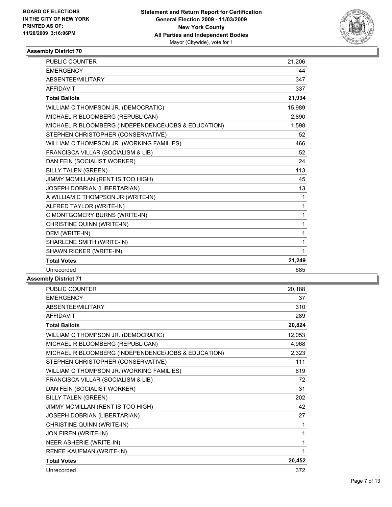

| <b>PUBLIC COUNTER</b>                               | 21,206       |
|-----------------------------------------------------|--------------|
| <b>EMERGENCY</b>                                    | 44           |
| ABSENTEE/MILITARY                                   | 347          |
| <b>AFFIDAVIT</b>                                    | 337          |
| <b>Total Ballots</b>                                | 21,934       |
| WILLIAM C THOMPSON JR. (DEMOCRATIC)                 | 15,989       |
| MICHAEL R BLOOMBERG (REPUBLICAN)                    | 2,890        |
| MICHAEL R BLOOMBERG (INDEPENDENCE/JOBS & EDUCATION) | 1,598        |
| STEPHEN CHRISTOPHER (CONSERVATIVE)                  | 52           |
| WILLIAM C THOMPSON JR. (WORKING FAMILIES)           | 466          |
| FRANCISCA VILLAR (SOCIALISM & LIB)                  | 52           |
| DAN FEIN (SOCIALIST WORKER)                         | 24           |
| <b>BILLY TALEN (GREEN)</b>                          | 113          |
| JIMMY MCMILLAN (RENT IS TOO HIGH)                   | 45           |
| JOSEPH DOBRIAN (LIBERTARIAN)                        | 13           |
| A WILLIAM C THOMPSON JR (WRITE-IN)                  | $\mathbf{1}$ |
| ALFRED TAYLOR (WRITE-IN)                            | 1            |
| C MONTGOMERY BURNS (WRITE-IN)                       | 1            |
| CHRISTINE QUINN (WRITE-IN)                          | 1            |
| DEM (WRITE-IN)                                      | 1            |
| SHARLENE SMITH (WRITE-IN)                           | 1            |
| SHAWN RICKER (WRITE-IN)                             | 1            |
| <b>Total Votes</b>                                  | 21,249       |
| Unrecorded                                          | 685          |

| PUBLIC COUNTER                                      | 20,188 |
|-----------------------------------------------------|--------|
| <b>EMERGENCY</b>                                    | 37     |
| ABSENTEE/MILITARY                                   | 310    |
| <b>AFFIDAVIT</b>                                    | 289    |
| <b>Total Ballots</b>                                | 20,824 |
| WILLIAM C THOMPSON JR. (DEMOCRATIC)                 | 12,053 |
| MICHAEL R BLOOMBERG (REPUBLICAN)                    | 4,968  |
| MICHAEL R BLOOMBERG (INDEPENDENCE/JOBS & EDUCATION) | 2,323  |
| STEPHEN CHRISTOPHER (CONSERVATIVE)                  | 111    |
| WILLIAM C THOMPSON JR. (WORKING FAMILIES)           | 619    |
| FRANCISCA VILLAR (SOCIALISM & LIB)                  | 72     |
| DAN FEIN (SOCIALIST WORKER)                         | 31     |
| <b>BILLY TALEN (GREEN)</b>                          | 202    |
| JIMMY MCMILLAN (RENT IS TOO HIGH)                   | 42     |
| JOSEPH DOBRIAN (LIBERTARIAN)                        | 27     |
| CHRISTINE QUINN (WRITE-IN)                          | 1      |
| JON FIREN (WRITE-IN)                                | 1      |
| NEER ASHERIE (WRITE-IN)                             | 1      |
| RENEE KAUFMAN (WRITE-IN)                            | 1      |
| <b>Total Votes</b>                                  | 20,452 |
| Unrecorded                                          | 372    |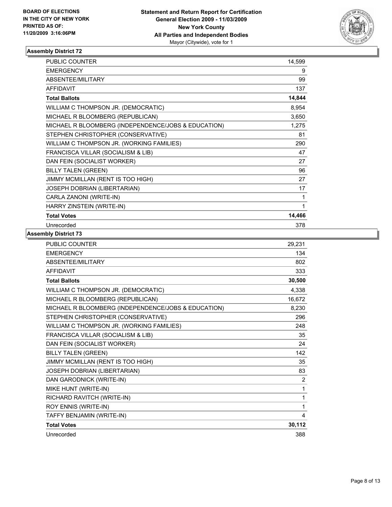

| PUBLIC COUNTER                                      | 14,599 |
|-----------------------------------------------------|--------|
| <b>EMERGENCY</b>                                    | 9      |
| ABSENTEE/MILITARY                                   | 99     |
| <b>AFFIDAVIT</b>                                    | 137    |
| <b>Total Ballots</b>                                | 14,844 |
| WILLIAM C THOMPSON JR. (DEMOCRATIC)                 | 8,954  |
| MICHAEL R BLOOMBERG (REPUBLICAN)                    | 3,650  |
| MICHAEL R BLOOMBERG (INDEPENDENCE/JOBS & EDUCATION) | 1,275  |
| STEPHEN CHRISTOPHER (CONSERVATIVE)                  | 81     |
| WILLIAM C THOMPSON JR. (WORKING FAMILIES)           | 290    |
| FRANCISCA VILLAR (SOCIALISM & LIB)                  | 47     |
| DAN FEIN (SOCIALIST WORKER)                         | 27     |
| <b>BILLY TALEN (GREEN)</b>                          | 96     |
| JIMMY MCMILLAN (RENT IS TOO HIGH)                   | 27     |
| JOSEPH DOBRIAN (LIBERTARIAN)                        | 17     |
| CARLA ZANONI (WRITE-IN)                             | 1      |
| HARRY ZINSTEIN (WRITE-IN)                           | 1      |
| <b>Total Votes</b>                                  | 14,466 |
| Unrecorded                                          | 378    |

| PUBLIC COUNTER                                      | 29,231       |
|-----------------------------------------------------|--------------|
| <b>EMERGENCY</b>                                    | 134          |
| <b>ABSENTEE/MILITARY</b>                            | 802          |
| <b>AFFIDAVIT</b>                                    | 333          |
| <b>Total Ballots</b>                                | 30,500       |
| WILLIAM C THOMPSON JR. (DEMOCRATIC)                 | 4,338        |
| MICHAEL R BLOOMBERG (REPUBLICAN)                    | 16,672       |
| MICHAEL R BLOOMBERG (INDEPENDENCE/JOBS & EDUCATION) | 8,230        |
| STEPHEN CHRISTOPHER (CONSERVATIVE)                  | 296          |
| WILLIAM C THOMPSON JR. (WORKING FAMILIES)           | 248          |
| FRANCISCA VILLAR (SOCIALISM & LIB)                  | 35           |
| DAN FEIN (SOCIALIST WORKER)                         | 24           |
| <b>BILLY TALEN (GREEN)</b>                          | 142          |
| JIMMY MCMILLAN (RENT IS TOO HIGH)                   | 35           |
| JOSEPH DOBRIAN (LIBERTARIAN)                        | 83           |
| DAN GARODNICK (WRITE-IN)                            | 2            |
| MIKE HUNT (WRITE-IN)                                | $\mathbf{1}$ |
| RICHARD RAVITCH (WRITE-IN)                          | $\mathbf{1}$ |
| ROY ENNIS (WRITE-IN)                                | 1            |
| TAFFY BENJAMIN (WRITE-IN)                           | 4            |
| <b>Total Votes</b>                                  | 30,112       |
| Unrecorded                                          | 388          |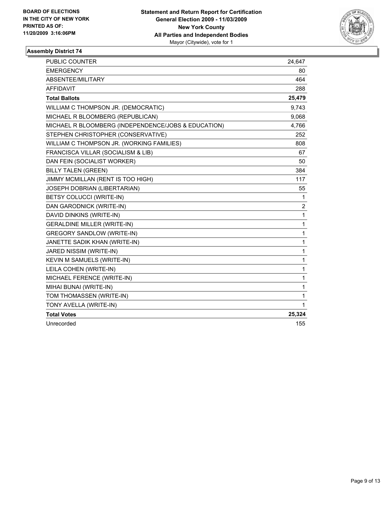

| <b>PUBLIC COUNTER</b>                               | 24,647         |
|-----------------------------------------------------|----------------|
| <b>EMERGENCY</b>                                    | 80             |
| <b>ABSENTEE/MILITARY</b>                            | 464            |
| <b>AFFIDAVIT</b>                                    | 288            |
| <b>Total Ballots</b>                                | 25,479         |
| WILLIAM C THOMPSON JR. (DEMOCRATIC)                 | 9,743          |
| MICHAEL R BLOOMBERG (REPUBLICAN)                    | 9,068          |
| MICHAEL R BLOOMBERG (INDEPENDENCE/JOBS & EDUCATION) | 4,766          |
| STEPHEN CHRISTOPHER (CONSERVATIVE)                  | 252            |
| WILLIAM C THOMPSON JR. (WORKING FAMILIES)           | 808            |
| FRANCISCA VILLAR (SOCIALISM & LIB)                  | 67             |
| DAN FEIN (SOCIALIST WORKER)                         | 50             |
| <b>BILLY TALEN (GREEN)</b>                          | 384            |
| JIMMY MCMILLAN (RENT IS TOO HIGH)                   | 117            |
| JOSEPH DOBRIAN (LIBERTARIAN)                        | 55             |
| BETSY COLUCCI (WRITE-IN)                            | 1              |
| DAN GARODNICK (WRITE-IN)                            | $\overline{c}$ |
| DAVID DINKINS (WRITE-IN)                            | 1              |
| <b>GERALDINE MILLER (WRITE-IN)</b>                  | 1              |
| <b>GREGORY SANDLOW (WRITE-IN)</b>                   | 1              |
| JANETTE SADIK KHAN (WRITE-IN)                       | $\mathbf{1}$   |
| JARED NISSIM (WRITE-IN)                             | 1              |
| KEVIN M SAMUELS (WRITE-IN)                          | 1              |
| LEILA COHEN (WRITE-IN)                              | 1              |
| MICHAEL FERENCE (WRITE-IN)                          | 1              |
| MIHAI BUNAI (WRITE-IN)                              | $\mathbf{1}$   |
| TOM THOMASSEN (WRITE-IN)                            | 1              |
| TONY AVELLA (WRITE-IN)                              | 1              |
| <b>Total Votes</b>                                  | 25,324         |
| Unrecorded                                          | 155            |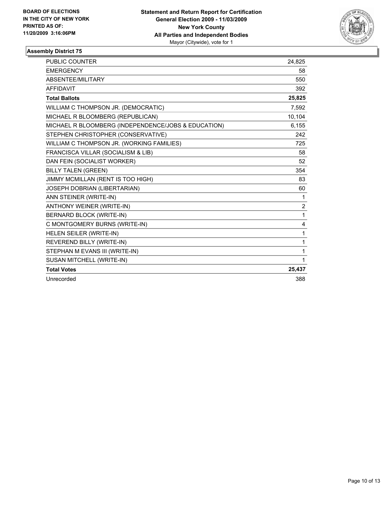

| <b>PUBLIC COUNTER</b>                               | 24,825         |
|-----------------------------------------------------|----------------|
| <b>EMERGENCY</b>                                    | 58             |
| ABSENTEE/MILITARY                                   | 550            |
| <b>AFFIDAVIT</b>                                    | 392            |
| <b>Total Ballots</b>                                | 25,825         |
| WILLIAM C THOMPSON JR. (DEMOCRATIC)                 | 7,592          |
| MICHAEL R BLOOMBERG (REPUBLICAN)                    | 10,104         |
| MICHAEL R BLOOMBERG (INDEPENDENCE/JOBS & EDUCATION) | 6,155          |
| STEPHEN CHRISTOPHER (CONSERVATIVE)                  | 242            |
| WILLIAM C THOMPSON JR. (WORKING FAMILIES)           | 725            |
| FRANCISCA VILLAR (SOCIALISM & LIB)                  | 58             |
| DAN FEIN (SOCIALIST WORKER)                         | 52             |
| <b>BILLY TALEN (GREEN)</b>                          | 354            |
| JIMMY MCMILLAN (RENT IS TOO HIGH)                   | 83             |
| JOSEPH DOBRIAN (LIBERTARIAN)                        | 60             |
| ANN STEINER (WRITE-IN)                              | 1              |
| ANTHONY WEINER (WRITE-IN)                           | $\overline{2}$ |
| BERNARD BLOCK (WRITE-IN)                            | 1              |
| C MONTGOMERY BURNS (WRITE-IN)                       | 4              |
| HELEN SEILER (WRITE-IN)                             | 1              |
| REVEREND BILLY (WRITE-IN)                           | 1              |
| STEPHAN M EVANS III (WRITE-IN)                      | 1              |
| SUSAN MITCHELL (WRITE-IN)                           | 1              |
| <b>Total Votes</b>                                  | 25,437         |
| Unrecorded                                          | 388            |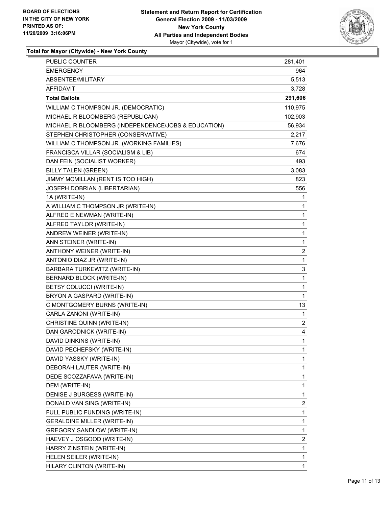

**Total for Mayor (Citywide) - New York County**

| PUBLIC COUNTER                                      | 281,401      |
|-----------------------------------------------------|--------------|
| <b>EMERGENCY</b>                                    | 964          |
| ABSENTEE/MILITARY                                   | 5,513        |
| AFFIDAVIT                                           | 3,728        |
| <b>Total Ballots</b>                                | 291,606      |
| WILLIAM C THOMPSON JR. (DEMOCRATIC)                 | 110,975      |
| MICHAEL R BLOOMBERG (REPUBLICAN)                    | 102,903      |
| MICHAEL R BLOOMBERG (INDEPENDENCE/JOBS & EDUCATION) | 56,934       |
| STEPHEN CHRISTOPHER (CONSERVATIVE)                  | 2,217        |
| WILLIAM C THOMPSON JR. (WORKING FAMILIES)           | 7,676        |
| FRANCISCA VILLAR (SOCIALISM & LIB)                  | 674          |
| DAN FEIN (SOCIALIST WORKER)                         | 493          |
| <b>BILLY TALEN (GREEN)</b>                          | 3,083        |
| JIMMY MCMILLAN (RENT IS TOO HIGH)                   | 823          |
| JOSEPH DOBRIAN (LIBERTARIAN)                        | 556          |
| 1A (WRITE-IN)                                       | 1            |
| A WILLIAM C THOMPSON JR (WRITE-IN)                  | 1            |
| ALFRED E NEWMAN (WRITE-IN)                          | 1            |
| ALFRED TAYLOR (WRITE-IN)                            | 1            |
| ANDREW WEINER (WRITE-IN)                            | 1            |
| ANN STEINER (WRITE-IN)                              | 1            |
| ANTHONY WEINER (WRITE-IN)                           | 2            |
| ANTONIO DIAZ JR (WRITE-IN)                          | 1            |
| BARBARA TURKEWITZ (WRITE-IN)                        | 3            |
| BERNARD BLOCK (WRITE-IN)                            | 1            |
| BETSY COLUCCI (WRITE-IN)                            | 1            |
| BRYON A GASPARD (WRITE-IN)                          | 1            |
| C MONTGOMERY BURNS (WRITE-IN)                       | 13           |
| CARLA ZANONI (WRITE-IN)                             | 1            |
| CHRISTINE QUINN (WRITE-IN)                          | 2            |
| DAN GARODNICK (WRITE-IN)                            | 4            |
| DAVID DINKINS (WRITE-IN)                            | $\mathbf{1}$ |
| DAVID PECHEFSKY (WRITE-IN)                          | 1            |
| DAVID YASSKY (WRITE-IN)                             | 1            |
| DEBORAH LAUTER (WRITE-IN)                           | 1            |
| DEDE SCOZZAFAVA (WRITE-IN)                          | 1            |
| DEM (WRITE-IN)                                      | 1            |
| DENISE J BURGESS (WRITE-IN)                         | 1            |
| DONALD VAN SING (WRITE-IN)                          | 2            |
| FULL PUBLIC FUNDING (WRITE-IN)                      | 1            |
| <b>GERALDINE MILLER (WRITE-IN)</b>                  | 1            |
| <b>GREGORY SANDLOW (WRITE-IN)</b>                   | 1            |
| HAEVEY J OSGOOD (WRITE-IN)                          | 2            |
| HARRY ZINSTEIN (WRITE-IN)                           | 1            |
| HELEN SEILER (WRITE-IN)                             | 1            |
| HILARY CLINTON (WRITE-IN)                           | 1            |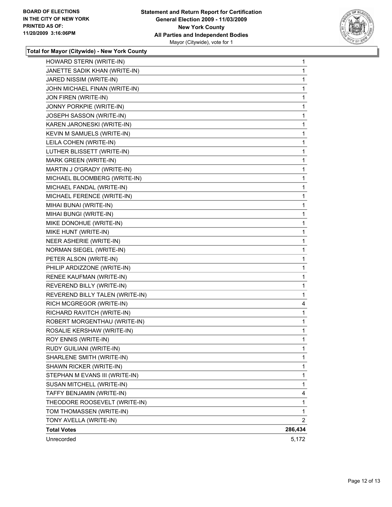

**Total for Mayor (Citywide) - New York County**

| HOWARD STERN (WRITE-IN)         | $\mathbf{1}$ |
|---------------------------------|--------------|
| JANETTE SADIK KHAN (WRITE-IN)   | $\mathbf 1$  |
| JARED NISSIM (WRITE-IN)         | 1            |
| JOHN MICHAEL FINAN (WRITE-IN)   | 1            |
| JON FIREN (WRITE-IN)            | 1            |
| JONNY PORKPIE (WRITE-IN)        | 1            |
| JOSEPH SASSON (WRITE-IN)        | 1            |
| KAREN JARONESKI (WRITE-IN)      | 1            |
| KEVIN M SAMUELS (WRITE-IN)      | 1            |
| LEILA COHEN (WRITE-IN)          | $\mathbf 1$  |
| LUTHER BLISSETT (WRITE-IN)      | 1            |
| MARK GREEN (WRITE-IN)           | 1            |
| MARTIN J O'GRADY (WRITE-IN)     | 1            |
| MICHAEL BLOOMBERG (WRITE-IN)    | 1            |
| MICHAEL FANDAL (WRITE-IN)       | 1            |
| MICHAEL FERENCE (WRITE-IN)      | $\mathbf 1$  |
| MIHAI BUNAI (WRITE-IN)          | 1            |
| MIHAI BUNGI (WRITE-IN)          | 1            |
| MIKE DONOHUE (WRITE-IN)         | 1            |
| MIKE HUNT (WRITE-IN)            | 1            |
| NEER ASHERIE (WRITE-IN)         | 1            |
| NORMAN SIEGEL (WRITE-IN)        | 1            |
| PETER ALSON (WRITE-IN)          | 1            |
| PHILIP ARDIZZONE (WRITE-IN)     | 1            |
| RENEE KAUFMAN (WRITE-IN)        | 1            |
| REVEREND BILLY (WRITE-IN)       | 1            |
| REVEREND BILLY TALEN (WRITE-IN) | 1            |
| RICH MCGREGOR (WRITE-IN)        | 4            |
| RICHARD RAVITCH (WRITE-IN)      | 1            |
| ROBERT MORGENTHAU (WRITE-IN)    | 1            |
| ROSALIE KERSHAW (WRITE-IN)      | $\mathbf 1$  |
| ROY ENNIS (WRITE-IN)            | 1            |
| RUDY GUILIANI (WRITE-IN)        | $\mathbf 1$  |
| SHARLENE SMITH (WRITE-IN)       | 1            |
| SHAWN RICKER (WRITE-IN)         | 1            |
| STEPHAN M EVANS III (WRITE-IN)  | 1            |
| SUSAN MITCHELL (WRITE-IN)       | 1            |
| TAFFY BENJAMIN (WRITE-IN)       | 4            |
| THEODORE ROOSEVELT (WRITE-IN)   | 1            |
| TOM THOMASSEN (WRITE-IN)        | 1            |
| TONY AVELLA (WRITE-IN)          | 2            |
| <b>Total Votes</b>              | 286,434      |
| Unrecorded                      | 5,172        |